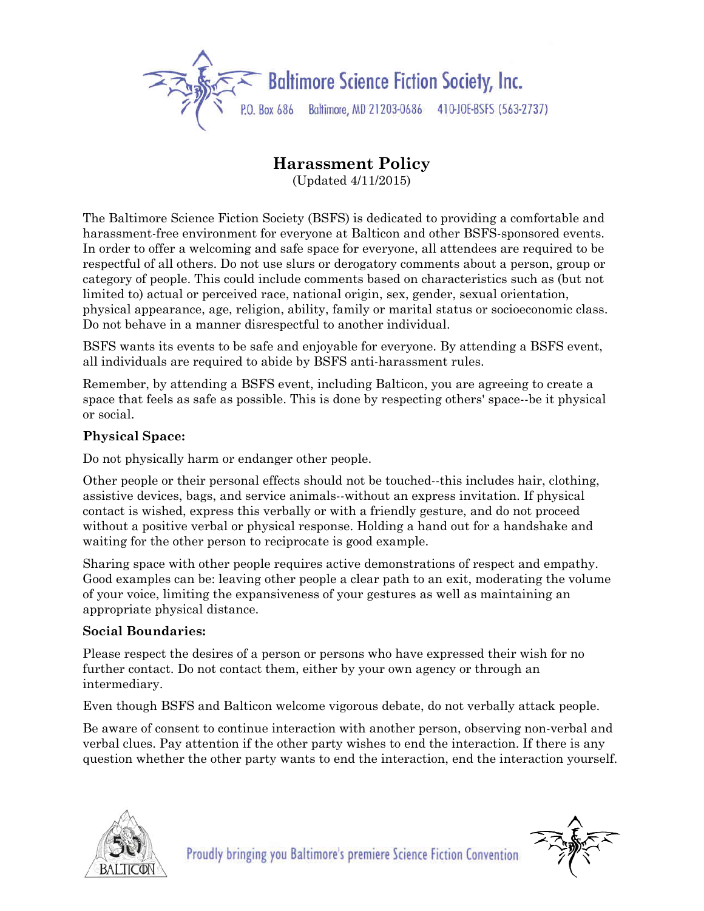

## **Harassment Policy**

(Updated 4/11/2015)

The Baltimore Science Fiction Society (BSFS) is dedicated to providing a comfortable and harassment-free environment for everyone at Balticon and other BSFS-sponsored events. In order to offer a welcoming and safe space for everyone, all attendees are required to be respectful of all others. Do not use slurs or derogatory comments about a person, group or category of people. This could include comments based on characteristics such as (but not limited to) actual or perceived race, national origin, sex, gender, sexual orientation, physical appearance, age, religion, ability, family or marital status or socioeconomic class. Do not behave in a manner disrespectful to another individual.

BSFS wants its events to be safe and enjoyable for everyone. By attending a BSFS event, all individuals are required to abide by BSFS anti-harassment rules.

Remember, by attending a BSFS event, including Balticon, you are agreeing to create a space that feels as safe as possible. This is done by respecting others' space--be it physical or social.

## **Physical Space:**

Do not physically harm or endanger other people.

Other people or their personal effects should not be touched--this includes hair, clothing, assistive devices, bags, and service animals--without an express invitation. If physical contact is wished, express this verbally or with a friendly gesture, and do not proceed without a positive verbal or physical response. Holding a hand out for a handshake and waiting for the other person to reciprocate is good example.

Sharing space with other people requires active demonstrations of respect and empathy. Good examples can be: leaving other people a clear path to an exit, moderating the volume of your voice, limiting the expansiveness of your gestures as well as maintaining an appropriate physical distance.

## **Social Boundaries:**

Please respect the desires of a person or persons who have expressed their wish for no further contact. Do not contact them, either by your own agency or through an intermediary.

Even though BSFS and Balticon welcome vigorous debate, do not verbally attack people.

Be aware of consent to continue interaction with another person, observing non-verbal and verbal clues. Pay attention if the other party wishes to end the interaction. If there is any question whether the other party wants to end the interaction, end the interaction yourself.